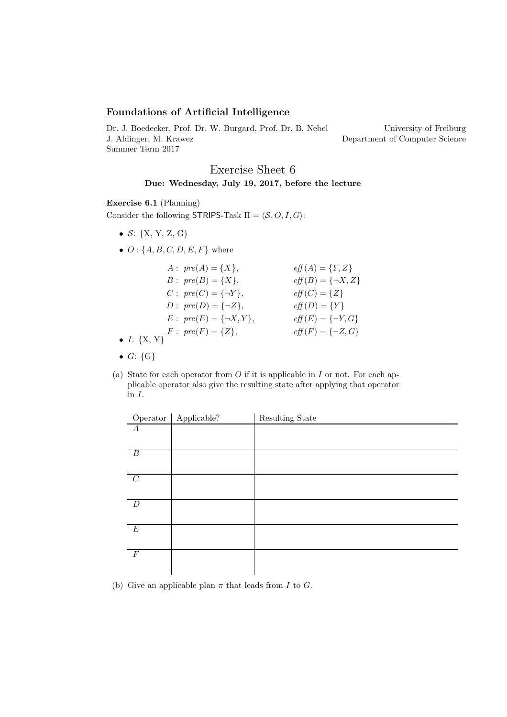## Foundations of Artificial Intelligence

Dr. J. Boedecker, Prof. Dr. W. Burgard, Prof. Dr. B. Nebel J. Aldinger, M. Krawez Summer Term 2017

University of Freiburg Department of Computer Science

## Exercise Sheet 6 Due: Wednesday, July 19, 2017, before the lecture

## Exercise 6.1 (Planning)

Consider the following STRIPS-Task  $\Pi = \langle \mathcal{S}, O, I, G \rangle$ :

- $S: \{X, Y, Z, G\}$
- $\bullet$   $O: \{A, B, C, D, E, F\}$  where

| $A: pre(A) = \{X\},\$      | $eff(A) = {Y,Z}$                        |
|----------------------------|-----------------------------------------|
| $B: pre(B) = \{X\},\$      | $\operatorname{eff}(B) = \{\neg X, Z\}$ |
| $C: pre(C) = {\neg Y},$    | $\text{eff}(C) = \{Z\}$                 |
| $D: pre(D) = {\neg Z},$    | $\textit{eff}(D) = \{Y\}$               |
| $E: pre(E) = {\neg X, Y},$ | $\text{eff}(E) = \{\neg Y, G\}$         |
| $F: pre(F) = \{Z\},\$      | $eff(F) = {\neg Z, G}$                  |
| • $I: \{X, Y\}$            |                                         |

- $\bullet$  G:  $\{G\}$
- (a) State for each operator from  $O$  if it is applicable in  $I$  or not. For each applicable operator also give the resulting state after applying that operator in  $\cal I.$

|                  | Operator   Applicable? | Resulting State |
|------------------|------------------------|-----------------|
| $\boldsymbol{A}$ |                        |                 |
|                  |                        |                 |
| $\overline{B}$   |                        |                 |
|                  |                        |                 |
| $\overline{C}$   |                        |                 |
|                  |                        |                 |
| D                |                        |                 |
|                  |                        |                 |
| E                |                        |                 |
|                  |                        |                 |
| $\,F$            |                        |                 |
|                  |                        |                 |

(b) Give an applicable plan  $\pi$  that leads from I to G.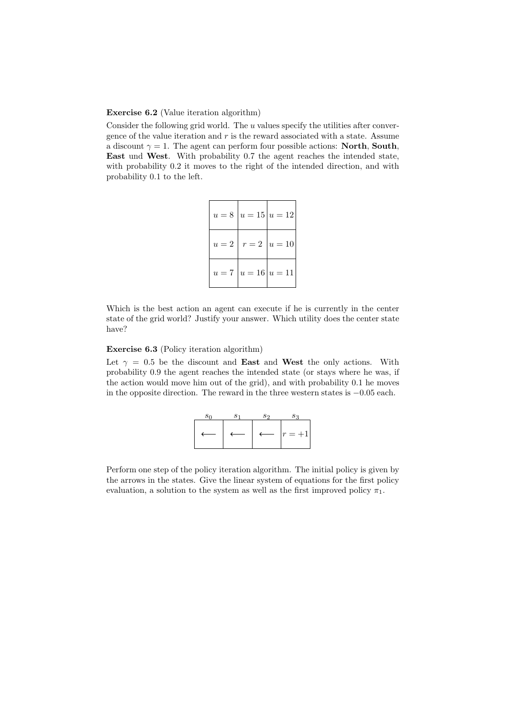Exercise 6.2 (Value iteration algorithm)

Consider the following grid world. The  $u$  values specify the utilities after convergence of the value iteration and  $r$  is the reward associated with a state. Assume a discount  $\gamma = 1$ . The agent can perform four possible actions: **North, South**, East und West. With probability 0.7 the agent reaches the intended state, with probability  $0.2$  it moves to the right of the intended direction, and with probability 0.1 to the left.

|  | $u = 8   u = 15   u = 12  $ |
|--|-----------------------------|
|  | $u=2   r=2   u=10  $        |
|  | $u = 7   u = 16   u = 11  $ |

Which is the best action an agent can execute if he is currently in the center state of the grid world? Justify your answer. Which utility does the center state have?

Exercise 6.3 (Policy iteration algorithm)

Let  $\gamma = 0.5$  be the discount and **East** and **West** the only actions. With probability 0.9 the agent reaches the intended state (or stays where he was, if the action would move him out of the grid), and with probability 0.1 he moves in the opposite direction. The reward in the three western states is −0.05 each.

| $s_0$ | S <sub>1</sub> | $s_2$            |            |
|-------|----------------|------------------|------------|
|       |                | $\longleftarrow$ | $ r = +1 $ |

Perform one step of the policy iteration algorithm. The initial policy is given by the arrows in the states. Give the linear system of equations for the first policy evaluation, a solution to the system as well as the first improved policy  $\pi_1$ .